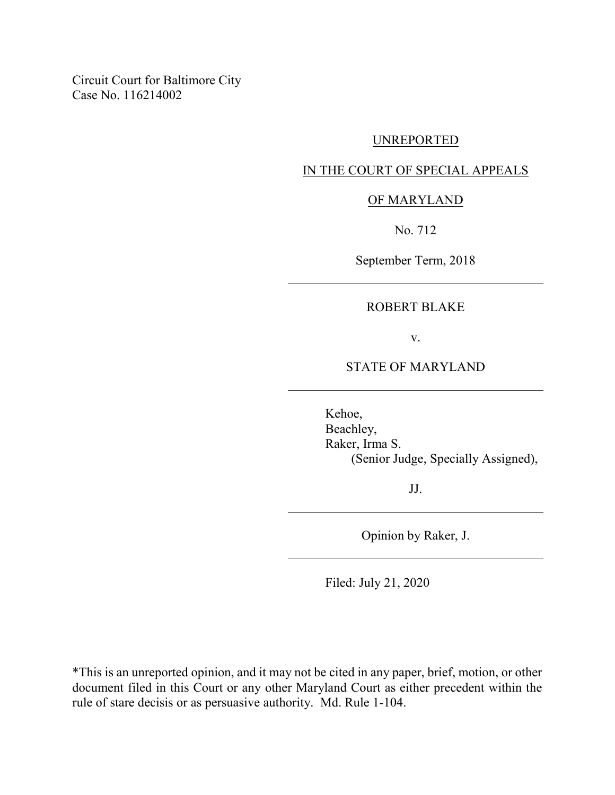Circuit Court for Baltimore City Case No. 116214002

#### UNREPORTED

### IN THE COURT OF SPECIAL APPEALS

#### OF MARYLAND

No. 712

September Term, 2018

# ROBERT BLAKE

v.

## STATE OF MARYLAND

Kehoe, Beachley, Raker, Irma S. (Senior Judge, Specially Assigned),

JJ.

Opinion by Raker, J.

Filed: July 21, 2020

\*This is an unreported opinion, and it may not be cited in any paper, brief, motion, or other document filed in this Court or any other Maryland Court as either precedent within the rule of stare decisis or as persuasive authority. Md. Rule 1-104.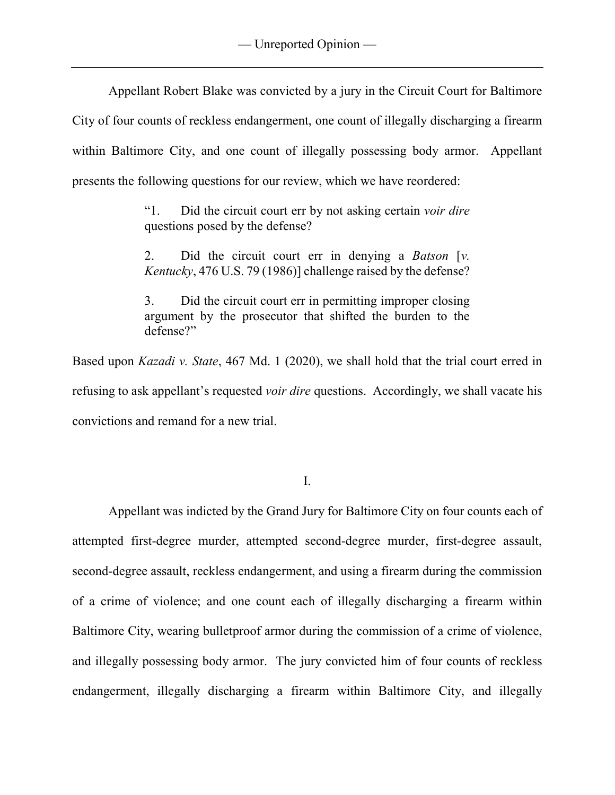Appellant Robert Blake was convicted by a jury in the Circuit Court for Baltimore City of four counts of reckless endangerment, one count of illegally discharging a firearm within Baltimore City, and one count of illegally possessing body armor. Appellant presents the following questions for our review, which we have reordered:

> "1. Did the circuit court err by not asking certain *voir dire* questions posed by the defense?

> 2. Did the circuit court err in denying a *Batson* [*v. Kentucky*, 476 U.S. 79 (1986)] challenge raised by the defense?

> 3. Did the circuit court err in permitting improper closing argument by the prosecutor that shifted the burden to the defense?"

Based upon *Kazadi v. State*, 467 Md. 1 (2020), we shall hold that the trial court erred in refusing to ask appellant's requested *voir dire* questions. Accordingly, we shall vacate his convictions and remand for a new trial.

I.

Appellant was indicted by the Grand Jury for Baltimore City on four counts each of attempted first-degree murder, attempted second-degree murder, first-degree assault, second-degree assault, reckless endangerment, and using a firearm during the commission of a crime of violence; and one count each of illegally discharging a firearm within Baltimore City, wearing bulletproof armor during the commission of a crime of violence, and illegally possessing body armor. The jury convicted him of four counts of reckless endangerment, illegally discharging a firearm within Baltimore City, and illegally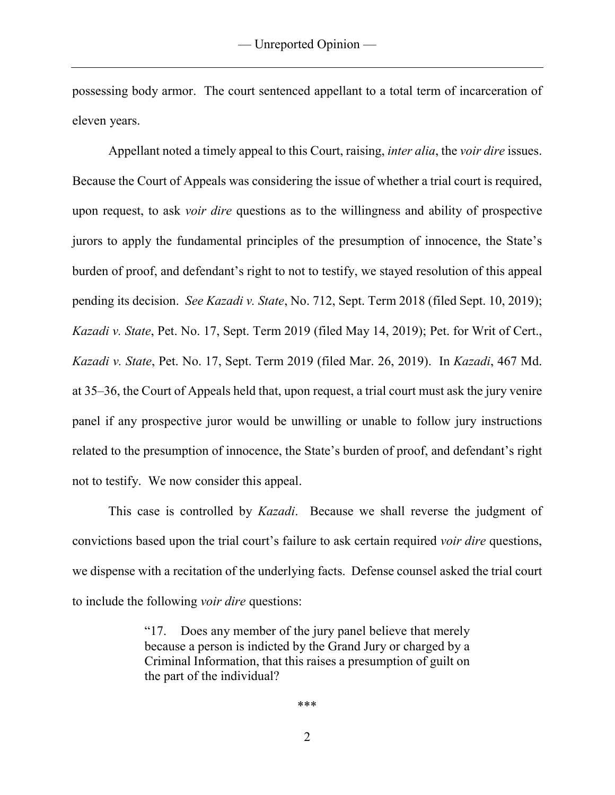possessing body armor. The court sentenced appellant to a total term of incarceration of eleven years.

Appellant noted a timely appeal to this Court, raising, *inter alia*, the *voir dire* issues. Because the Court of Appeals was considering the issue of whether a trial court is required, upon request, to ask *voir dire* questions as to the willingness and ability of prospective jurors to apply the fundamental principles of the presumption of innocence, the State's burden of proof, and defendant's right to not to testify, we stayed resolution of this appeal pending its decision. *See Kazadi v. State*, No. 712, Sept. Term 2018 (filed Sept. 10, 2019); *Kazadi v. State*, Pet. No. 17, Sept. Term 2019 (filed May 14, 2019); Pet. for Writ of Cert., *Kazadi v. State*, Pet. No. 17, Sept. Term 2019 (filed Mar. 26, 2019). In *Kazadi*, 467 Md. at 35–36, the Court of Appeals held that, upon request, a trial court must ask the jury venire panel if any prospective juror would be unwilling or unable to follow jury instructions related to the presumption of innocence, the State's burden of proof, and defendant's right not to testify. We now consider this appeal.

This case is controlled by *Kazadi*. Because we shall reverse the judgment of convictions based upon the trial court's failure to ask certain required *voir dire* questions, we dispense with a recitation of the underlying facts. Defense counsel asked the trial court to include the following *voir dire* questions:

> "17. Does any member of the jury panel believe that merely because a person is indicted by the Grand Jury or charged by a Criminal Information, that this raises a presumption of guilt on the part of the individual?

> > \*\*\*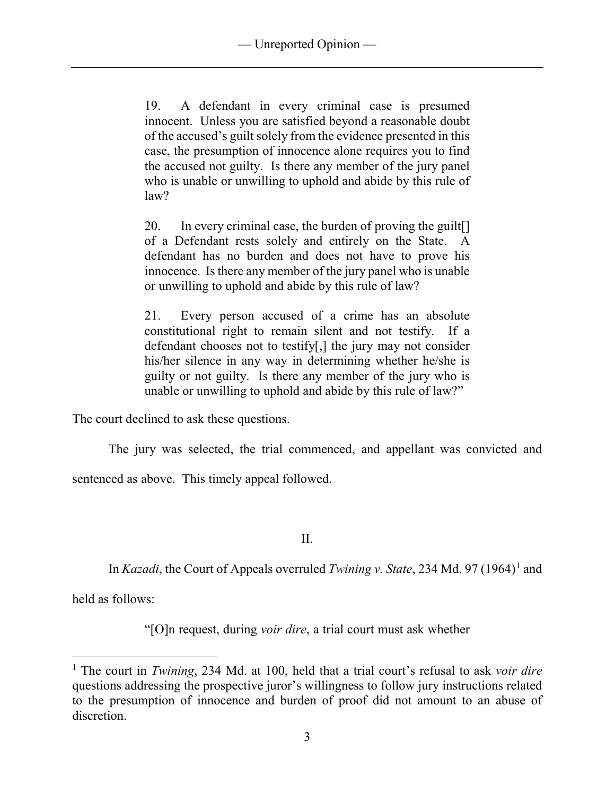19. A defendant in every criminal case is presumed innocent. Unless you are satisfied beyond a reasonable doubt of the accused's guilt solely from the evidence presented in this case, the presumption of innocence alone requires you to find the accused not guilty. Is there any member of the jury panel who is unable or unwilling to uphold and abide by this rule of law?

20. In every criminal case, the burden of proving the guilt[] of a Defendant rests solely and entirely on the State. A defendant has no burden and does not have to prove his innocence. Is there any member of the jury panel who is unable or unwilling to uphold and abide by this rule of law?

21. Every person accused of a crime has an absolute constitutional right to remain silent and not testify. If a defendant chooses not to testify[,] the jury may not consider his/her silence in any way in determining whether he/she is guilty or not guilty. Is there any member of the jury who is unable or unwilling to uphold and abide by this rule of law?"

The court declined to ask these questions.

The jury was selected, the trial commenced, and appellant was convicted and

sentenced as above. This timely appeal followed.

II.

In *Kazadi*, the Court of Appeals overruled *Twining v. State*, 234 Md. 97 ([1](#page-3-0)964)<sup>1</sup> and

held as follows:

"[O]n request, during *voir dire*, a trial court must ask whether

<span id="page-3-0"></span> <sup>1</sup> The court in *Twining*, 234 Md. at 100, held that a trial court's refusal to ask *voir dire* questions addressing the prospective juror's willingness to follow jury instructions related to the presumption of innocence and burden of proof did not amount to an abuse of discretion.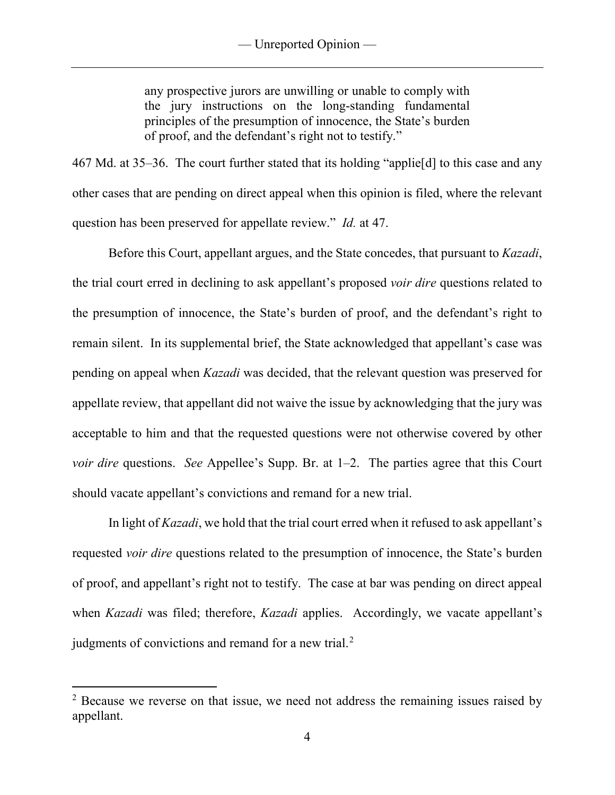any prospective jurors are unwilling or unable to comply with the jury instructions on the long-standing fundamental principles of the presumption of innocence, the State's burden of proof, and the defendant's right not to testify."

467 Md. at 35–36. The court further stated that its holding "applie[d] to this case and any other cases that are pending on direct appeal when this opinion is filed, where the relevant question has been preserved for appellate review." *Id.* at 47.

Before this Court, appellant argues, and the State concedes, that pursuant to *Kazadi*, the trial court erred in declining to ask appellant's proposed *voir dire* questions related to the presumption of innocence, the State's burden of proof, and the defendant's right to remain silent. In its supplemental brief, the State acknowledged that appellant's case was pending on appeal when *Kazadi* was decided, that the relevant question was preserved for appellate review, that appellant did not waive the issue by acknowledging that the jury was acceptable to him and that the requested questions were not otherwise covered by other *voir dire* questions. *See* Appellee's Supp. Br. at 1–2. The parties agree that this Court should vacate appellant's convictions and remand for a new trial.

In light of *Kazadi*, we hold that the trial court erred when it refused to ask appellant's requested *voir dire* questions related to the presumption of innocence, the State's burden of proof, and appellant's right not to testify. The case at bar was pending on direct appeal when *Kazadi* was filed; therefore, *Kazadi* applies. Accordingly, we vacate appellant's judgments of convictions and remand for a new trial.<sup>[2](#page-4-0)</sup>

<span id="page-4-0"></span><sup>&</sup>lt;sup>2</sup> Because we reverse on that issue, we need not address the remaining issues raised by appellant.